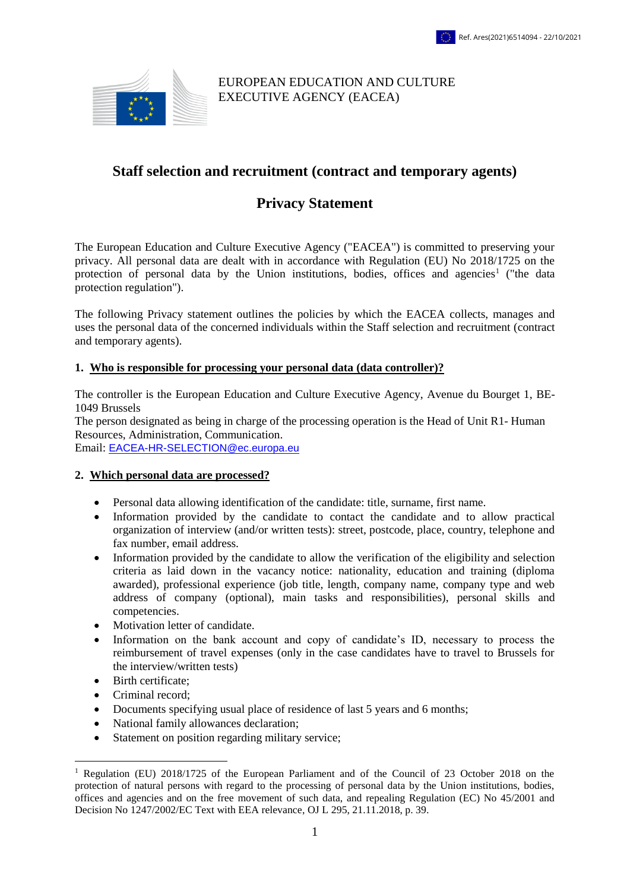

## EUROPEAN EDUCATION AND CULTURE EXECUTIVE AGENCY (EACEA)

## **Staff selection and recruitment (contract and temporary agents)**

# **Privacy Statement**

The European Education and Culture Executive Agency ("EACEA") is committed to preserving your privacy. All personal data are dealt with in accordance with Regulation (EU) No 2018/1725 on the protection of personal data by the Union institutions, bodies, offices and agencies<sup>1</sup> ("the data protection regulation").

The following Privacy statement outlines the policies by which the EACEA collects, manages and uses the personal data of the concerned individuals within the Staff selection and recruitment (contract and temporary agents).

#### **1. Who is responsible for processing your personal data (data controller)?**

The controller is the European Education and Culture Executive Agency, Avenue du Bourget 1, BE-1049 Brussels

The person designated as being in charge of the processing operation is the Head of Unit R1- Human Resources, Administration, Communication.

Email: [EACEA-HR-SELECTION@ec.europa.eu](mailto:EACEA-HR-SELECTION@ec.europa.eu)

#### **2. Which personal data are processed?**

- Personal data allowing identification of the candidate: title, surname, first name.
- Information provided by the candidate to contact the candidate and to allow practical organization of interview (and/or written tests): street, postcode, place, country, telephone and fax number, email address.
- Information provided by the candidate to allow the verification of the eligibility and selection criteria as laid down in the vacancy notice: nationality, education and training (diploma awarded), professional experience (job title, length, company name, company type and web address of company (optional), main tasks and responsibilities), personal skills and competencies.
- Motivation letter of candidate.
- Information on the bank account and copy of candidate's ID, necessary to process the reimbursement of travel expenses (only in the case candidates have to travel to Brussels for the interview/written tests)
- Birth certificate:

<u>.</u>

- Criminal record:
- Documents specifying usual place of residence of last 5 years and 6 months;
- National family allowances declaration;
- Statement on position regarding military service;

<sup>1</sup> Regulation (EU) 2018/1725 of the European Parliament and of the Council of 23 October 2018 on the protection of natural persons with regard to the processing of personal data by the Union institutions, bodies, offices and agencies and on the free movement of such data, and repealing Regulation (EC) No 45/2001 and Decision No 1247/2002/EC Text with EEA relevance, OJ L 295, 21.11.2018, p. 39*.*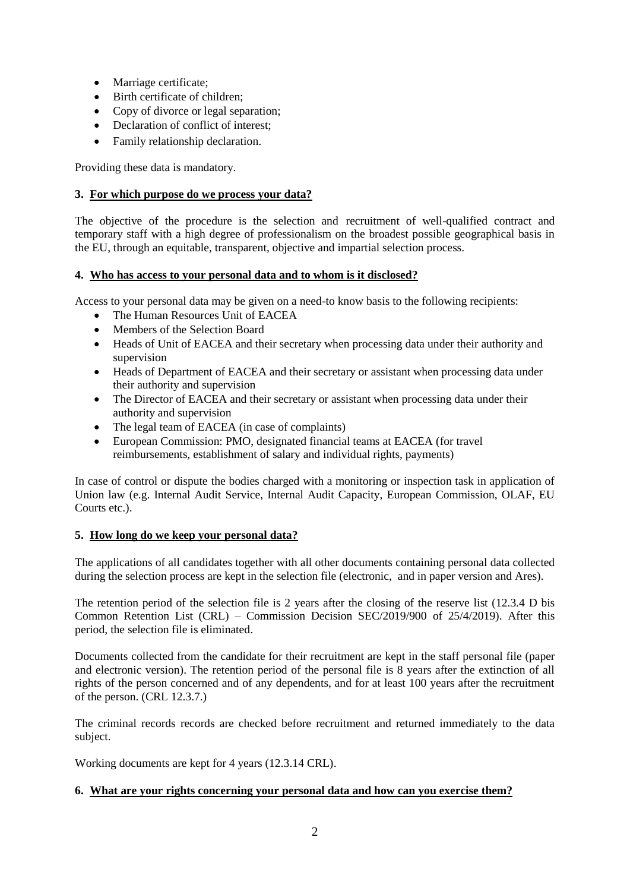- Marriage certificate;
- Birth certificate of children;
- Copy of divorce or legal separation;
- Declaration of conflict of interest;
- Family relationship declaration.

Providing these data is mandatory.

## **3. For which purpose do we process your data?**

The objective of the procedure is the selection and recruitment of well-qualified contract and temporary staff with a high degree of professionalism on the broadest possible geographical basis in the EU, through an equitable, transparent, objective and impartial selection process.

#### **4. Who has access to your personal data and to whom is it disclosed?**

Access to your personal data may be given on a need-to know basis to the following recipients:

- The Human Resources Unit of EACEA
- Members of the Selection Board
- Heads of Unit of EACEA and their secretary when processing data under their authority and supervision
- Heads of Department of EACEA and their secretary or assistant when processing data under their authority and supervision
- The Director of EACEA and their secretary or assistant when processing data under their authority and supervision
- The legal team of EACEA (in case of complaints)
- European Commission: PMO, designated financial teams at EACEA (for travel reimbursements, establishment of salary and individual rights, payments)

In case of control or dispute the bodies charged with a monitoring or inspection task in application of Union law (e.g. Internal Audit Service, Internal Audit Capacity, European Commission, OLAF, EU Courts etc.).

## **5. How long do we keep your personal data?**

The applications of all candidates together with all other documents containing personal data collected during the selection process are kept in the selection file (electronic, and in paper version and Ares).

The retention period of the selection file is 2 years after the closing of the reserve list (12.3.4 D bis Common Retention List (CRL) – Commission Decision SEC/2019/900 of 25/4/2019). After this period, the selection file is eliminated.

Documents collected from the candidate for their recruitment are kept in the staff personal file (paper and electronic version). The retention period of the personal file is 8 years after the extinction of all rights of the person concerned and of any dependents, and for at least 100 years after the recruitment of the person. (CRL 12.3.7.)

The criminal records records are checked before recruitment and returned immediately to the data subject.

Working documents are kept for 4 years (12.3.14 CRL).

## **6. What are your rights concerning your personal data and how can you exercise them?**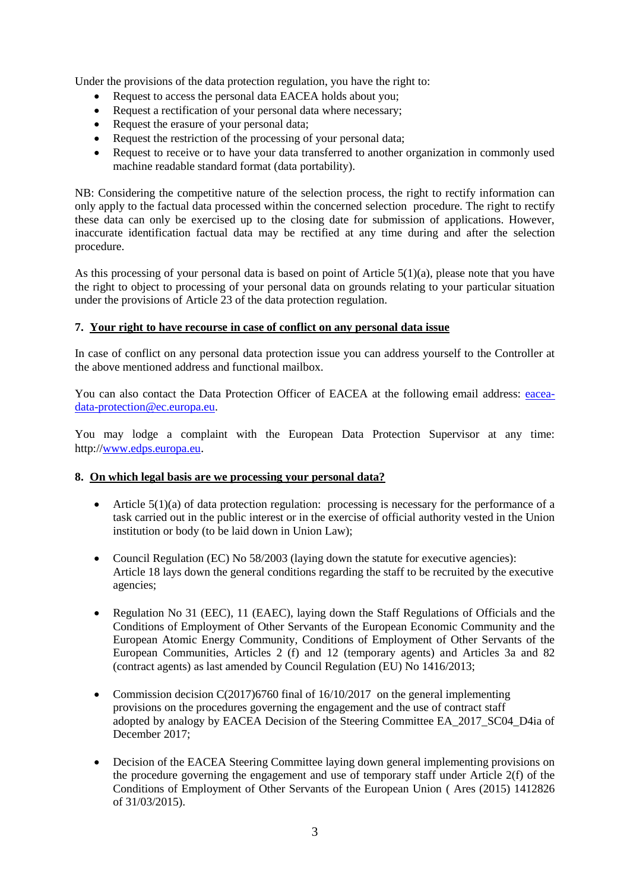Under the provisions of the data protection regulation, you have the right to:

- Request to access the personal data EACEA holds about you;
- Request a rectification of your personal data where necessary;
- Request the erasure of your personal data;
- Request the restriction of the processing of your personal data;
- Request to receive or to have your data transferred to another organization in commonly used machine readable standard format (data portability).

NB: Considering the competitive nature of the selection process, the right to rectify information can only apply to the factual data processed within the concerned selection procedure. The right to rectify these data can only be exercised up to the closing date for submission of applications. However, inaccurate identification factual data may be rectified at any time during and after the selection procedure.

As this processing of your personal data is based on point of Article  $5(1)(a)$ , please note that you have the right to object to processing of your personal data on grounds relating to your particular situation under the provisions of Article 23 of the data protection regulation.

## **7. Your right to have recourse in case of conflict on any personal data issue**

In case of conflict on any personal data protection issue you can address yourself to the Controller at the above mentioned address and functional mailbox.

You can also contact the Data Protection Officer of EACEA at the following email address: [eacea](mailto:eacea-data-protection@ec.europa.eu)[data-protection@ec.europa.eu.](mailto:eacea-data-protection@ec.europa.eu)

You may lodge a complaint with the European Data Protection Supervisor at any time: http:/[/www.edps.europa.eu](http://www.edps.europa.eu/).

## **8. On which legal basis are we processing your personal data?**

- Article  $5(1)(a)$  of data protection regulation: processing is necessary for the performance of a task carried out in the public interest or in the exercise of official authority vested in the Union institution or body (to be laid down in Union Law);
- Council Regulation (EC) No 58/2003 (laying down the statute for executive agencies): Article 18 lays down the general conditions regarding the staff to be recruited by the executive agencies;
- Regulation No 31 (EEC), 11 (EAEC), laying down the Staff Regulations of Officials and the Conditions of Employment of Other Servants of the European Economic Community and the European Atomic Energy Community, Conditions of Employment of Other Servants of the European Communities, Articles 2 (f) and 12 (temporary agents) and Articles 3a and 82 (contract agents) as last amended by Council Regulation (EU) No 1416/2013;
- Commission decision C(2017)6760 final of  $16/10/2017$  on the general implementing provisions on the procedures governing the engagement and the use of contract staff adopted by analogy by EACEA Decision of the Steering Committee EA\_2017\_SC04\_D4ia of December 2017;
- Decision of the EACEA Steering Committee laying down general implementing provisions on the procedure governing the engagement and use of temporary staff under Article 2(f) of the Conditions of Employment of Other Servants of the European Union ( Ares (2015) 1412826 of 31/03/2015).